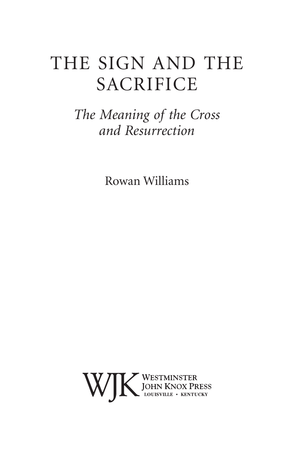# THE SIGN AND THE SACRIFICE

*The Meaning of the Cross and Resurrection*

Rowan Williams

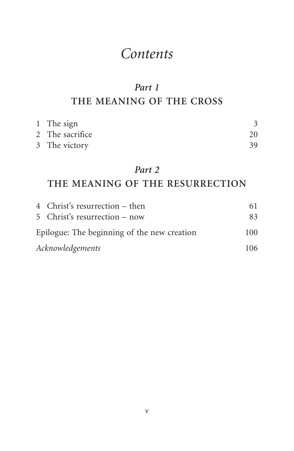## *Contents*

## *Part 1* **THE MEANING OF THE CROSS**

| 1 The sign      |    |
|-----------------|----|
| 2 The sacrifice | 20 |
| 3 The victory   | 39 |

#### *Part 2*

### **THE MEANING OF THE RESURRECTION**

| 4 Christ's resurrection – then              | 61  |
|---------------------------------------------|-----|
| 5 Christ's resurrection – now               | 83  |
| Epilogue: The beginning of the new creation | 100 |
| Acknowledgements                            |     |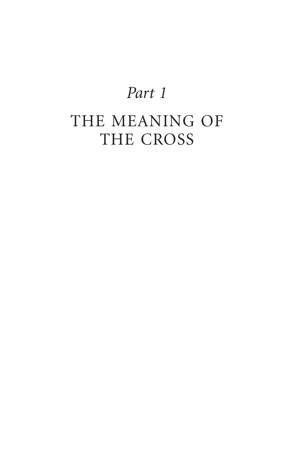# *Part 1* THE MEANING OF THE CROSS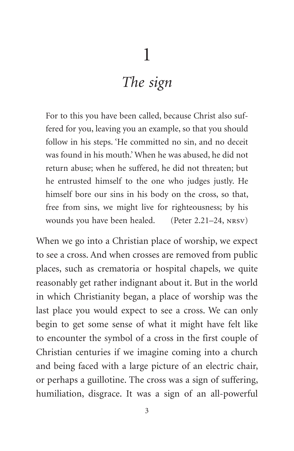For to this you have been called, because Christ also suffered for you, leaving you an example, so that you should follow in his steps. 'He committed no sin, and no deceit was found in his mouth.' When he was abused, he did not return abuse; when he suffered, he did not threaten; but he entrusted himself to the one who judges justly. He himself bore our sins in his body on the cross, so that, free from sins, we might live for righteousness; by his wounds you have been healed. (Peter 2.21–24, nrsv)

When we go into a Christian place of worship, we expect to see a cross. And when crosses are removed from public places, such as crematoria or hospital chapels, we quite reasonably get rather indignant about it. But in the world in which Christianity began, a place of worship was the last place you would expect to see a cross. We can only begin to get some sense of what it might have felt like to encounter the symbol of a cross in the first couple of Christian centuries if we imagine coming into a church and being faced with a large picture of an electric chair, or perhaps a guillotine. The cross was a sign of suffering, humiliation, disgrace. It was a sign of an all-powerful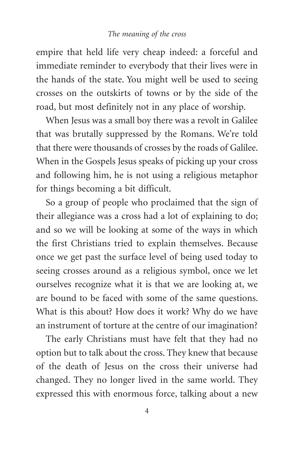empire that held life very cheap indeed: a forceful and immediate reminder to everybody that their lives were in the hands of the state. You might well be used to seeing crosses on the outskirts of towns or by the side of the road, but most definitely not in any place of worship.

When Jesus was a small boy there was a revolt in Galilee that was brutally suppressed by the Romans. We're told that there were thousands of crosses by the roads of Galilee. When in the Gospels Jesus speaks of picking up your cross and following him, he is not using a religious metaphor for things becoming a bit difficult.

So a group of people who proclaimed that the sign of their allegiance was a cross had a lot of explaining to do; and so we will be looking at some of the ways in which the first Christians tried to explain themselves. Because once we get past the surface level of being used today to seeing crosses around as a religious symbol, once we let ourselves recognize what it is that we are looking at, we are bound to be faced with some of the same questions. What is this about? How does it work? Why do we have an instrument of torture at the centre of our imagination?

The early Christians must have felt that they had no option but to talk about the cross. They knew that because of the death of Jesus on the cross their universe had changed. They no longer lived in the same world. They expressed this with enormous force, talking about a new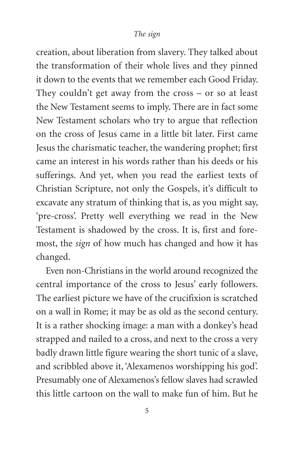creation, about liberation from slavery. They talked about the transformation of their whole lives and they pinned it down to the events that we remember each Good Friday. They couldn't get away from the cross – or so at least the New Testament seems to imply. There are in fact some New Testament scholars who try to argue that reflection on the cross of Jesus came in a little bit later. First came Jesus the charismatic teacher, the wandering prophet; first came an interest in his words rather than his deeds or his sufferings. And yet, when you read the earliest texts of Christian Scripture, not only the Gospels, it's difficult to excavate any stratum of thinking that is, as you might say, 'pre-cross'. Pretty well everything we read in the New Testament is shadowed by the cross. It is, first and foremost, the *sign* of how much has changed and how it has changed.

Even non-Christians in the world around recognized the central importance of the cross to Jesus' early followers. The earliest picture we have of the crucifixion is scratched on a wall in Rome; it may be as old as the second century. It is a rather shocking image: a man with a donkey's head strapped and nailed to a cross, and next to the cross a very badly drawn little figure wearing the short tunic of a slave, and scribbled above it, 'Alexamenos worshipping his god'. Presumably one of Alexamenos's fellow slaves had scrawled this little cartoon on the wall to make fun of him. But he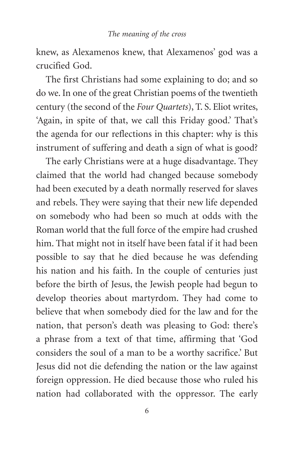knew, as Alexamenos knew, that Alexamenos' god was a crucified God.

The first Christians had some explaining to do; and so do we. In one of the great Christian poems of the twentieth century (the second of the *Four Quartets*), T. S. Eliot writes, 'Again, in spite of that, we call this Friday good.' That's the agenda for our reflections in this chapter: why is this instrument of suffering and death a sign of what is good?

The early Christians were at a huge disadvantage. They claimed that the world had changed because somebody had been executed by a death normally reserved for slaves and rebels. They were saying that their new life depended on somebody who had been so much at odds with the Roman world that the full force of the empire had crushed him. That might not in itself have been fatal if it had been possible to say that he died because he was defending his nation and his faith. In the couple of centuries just before the birth of Jesus, the Jewish people had begun to develop theories about martyrdom. They had come to believe that when somebody died for the law and for the nation, that person's death was pleasing to God: there's a phrase from a text of that time, affirming that 'God considers the soul of a man to be a worthy sacrifice.' But Jesus did not die defending the nation or the law against foreign oppression. He died because those who ruled his nation had collaborated with the oppressor. The early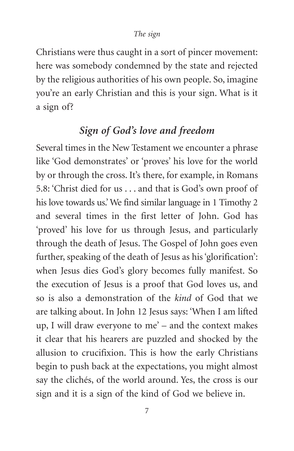Christians were thus caught in a sort of pincer movement: here was somebody condemned by the state and rejected by the religious authorities of his own people. So, imagine you're an early Christian and this is your sign. What is it a sign of?

## *Sign of God's love and freedom*

Several times in the New Testament we encounter a phrase like 'God demonstrates' or 'proves' his love for the world by or through the cross. It's there, for example, in Romans 5.8: 'Christ died for us . . . and that is God's own proof of his love towards us.' We find similar language in 1 Timothy 2 and several times in the first letter of John. God has 'proved' his love for us through Jesus, and particularly through the death of Jesus. The Gospel of John goes even further, speaking of the death of Jesus as his 'glorification': when Jesus dies God's glory becomes fully manifest. So the execution of Jesus is a proof that God loves us, and so is also a demonstration of the *kind* of God that we are talking about. In John 12 Jesus says: 'When I am lifted up, I will draw everyone to me' – and the context makes it clear that his hearers are puzzled and shocked by the allusion to crucifixion. This is how the early Christians begin to push back at the expectations, you might almost say the clichés, of the world around. Yes, the cross is our sign and it is a sign of the kind of God we believe in.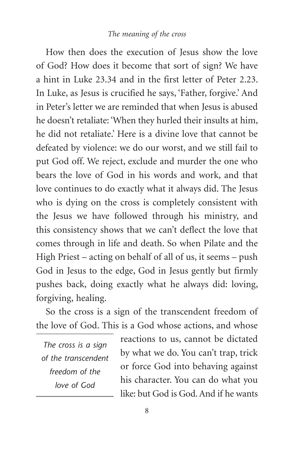How then does the execution of Jesus show the love of God? How does it become that sort of sign? We have a hint in Luke 23.34 and in the first letter of Peter 2.23. In Luke, as Jesus is crucified he says, 'Father, forgive.' And in Peter's letter we are reminded that when Jesus is abused he doesn't retaliate: 'When they hurled their insults at him, he did not retaliate.' Here is a divine love that cannot be defeated by violence: we do our worst, and we still fail to put God off. We reject, exclude and murder the one who bears the love of God in his words and work, and that love continues to do exactly what it always did. The Jesus who is dying on the cross is completely consistent with the Jesus we have followed through his ministry, and this consistency shows that we can't deflect the love that comes through in life and death. So when Pilate and the High Priest – acting on behalf of all of us, it seems – push God in Jesus to the edge, God in Jesus gently but firmly pushes back, doing exactly what he always did: loving, forgiving, healing.

So the cross is a sign of the transcendent freedom of the love of God. This is a God whose actions, and whose

*The cross is a sign of the transcendent freedom of the love of God*

reactions to us, cannot be dictated by what we do. You can't trap, trick or force God into behaving against his character. You can do what you like: but God is God. And if he wants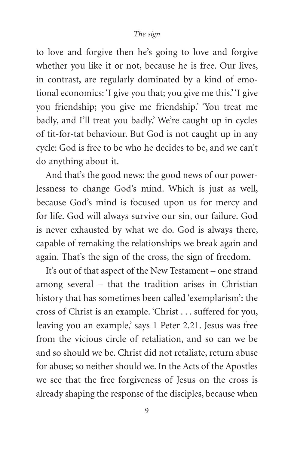to love and forgive then he's going to love and forgive whether you like it or not, because he is free. Our lives, in contrast, are regularly dominated by a kind of emotional economics: 'I give you that; you give me this.' 'I give you friendship; you give me friendship.' 'You treat me badly, and I'll treat you badly.' We're caught up in cycles of tit-for-tat behaviour. But God is not caught up in any cycle: God is free to be who he decides to be, and we can't do anything about it.

And that's the good news: the good news of our powerlessness to change God's mind. Which is just as well, because God's mind is focused upon us for mercy and for life. God will always survive our sin, our failure. God is never exhausted by what we do. God is always there, capable of remaking the relationships we break again and again. That's the sign of the cross, the sign of freedom.

It's out of that aspect of the New Testament – one strand among several – that the tradition arises in Christian history that has sometimes been called 'exemplarism': the cross of Christ is an example. 'Christ . . . suffered for you, leaving you an example,' says 1 Peter 2.21. Jesus was free from the vicious circle of retaliation, and so can we be and so should we be. Christ did not retaliate, return abuse for abuse; so neither should we. In the Acts of the Apostles we see that the free forgiveness of Jesus on the cross is already shaping the response of the disciples, because when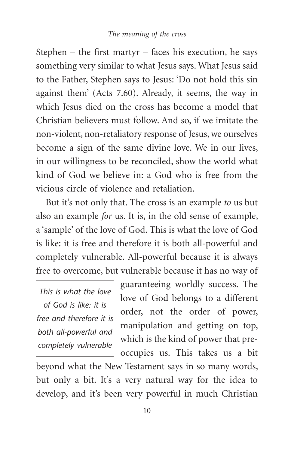Stephen – the first martyr – faces his execution, he says something very similar to what Jesus says. What Jesus said to the Father, Stephen says to Jesus: 'Do not hold this sin against them' (Acts 7.60). Already, it seems, the way in which Jesus died on the cross has become a model that Christian believers must follow. And so, if we imitate the non-violent, non-retaliatory response of Jesus, we ourselves become a sign of the same divine love. We in our lives, in our willingness to be reconciled, show the world what kind of God we believe in: a God who is free from the vicious circle of violence and retaliation.

But it's not only that. The cross is an example *to* us but also an example *for* us. It is, in the old sense of example, a 'sample' of the love of God. This is what the love of God is like: it is free and therefore it is both all-powerful and completely vulnerable. All-powerful because it is always free to overcome, but vulnerable because it has no way of

*This is what the love of God is like: it is free and therefore it is both all-powerful and completely vulnerable*

guaranteeing worldly success. The love of God belongs to a different order, not the order of power, manipulation and getting on top, which is the kind of power that preoccupies us. This takes us a bit

beyond what the New Testament says in so many words, but only a bit. It's a very natural way for the idea to develop, and it's been very powerful in much Christian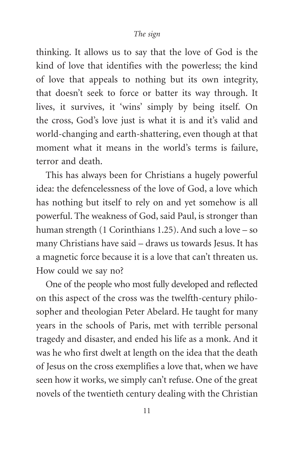thinking. It allows us to say that the love of God is the kind of love that identifies with the powerless; the kind of love that appeals to nothing but its own integrity, that doesn't seek to force or batter its way through. It lives, it survives, it 'wins' simply by being itself. On the cross, God's love just is what it is and it's valid and world-changing and earth-shattering, even though at that moment what it means in the world's terms is failure, terror and death.

This has always been for Christians a hugely powerful idea: the defencelessness of the love of God, a love which has nothing but itself to rely on and yet somehow is all powerful. The weakness of God, said Paul, is stronger than human strength (1 Corinthians 1.25). And such a love – so many Christians have said – draws us towards Jesus. It has a magnetic force because it is a love that can't threaten us. How could we say no?

One of the people who most fully developed and reflected on this aspect of the cross was the twelfth-century philosopher and theologian Peter Abelard. He taught for many years in the schools of Paris, met with terrible personal tragedy and disaster, and ended his life as a monk. And it was he who first dwelt at length on the idea that the death of Jesus on the cross exemplifies a love that, when we have seen how it works, we simply can't refuse. One of the great novels of the twentieth century dealing with the Christian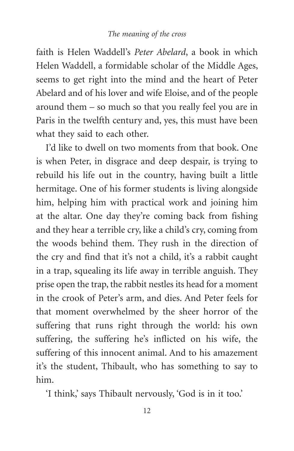faith is Helen Waddell's *Peter Abelard*, a book in which Helen Waddell, a formidable scholar of the Middle Ages, seems to get right into the mind and the heart of Peter Abelard and of his lover and wife Eloise, and of the people around them – so much so that you really feel you are in Paris in the twelfth century and, yes, this must have been what they said to each other.

I'd like to dwell on two moments from that book. One is when Peter, in disgrace and deep despair, is trying to rebuild his life out in the country, having built a little hermitage. One of his former students is living alongside him, helping him with practical work and joining him at the altar. One day they're coming back from fishing and they hear a terrible cry, like a child's cry, coming from the woods behind them. They rush in the direction of the cry and find that it's not a child, it's a rabbit caught in a trap, squealing its life away in terrible anguish. They prise open the trap, the rabbit nestles its head for a moment in the crook of Peter's arm, and dies. And Peter feels for that moment overwhelmed by the sheer horror of the suffering that runs right through the world: his own suffering, the suffering he's inflicted on his wife, the suffering of this innocent animal. And to his amazement it's the student, Thibault, who has something to say to him.

'I think,' says Thibault nervously, 'God is in it too.'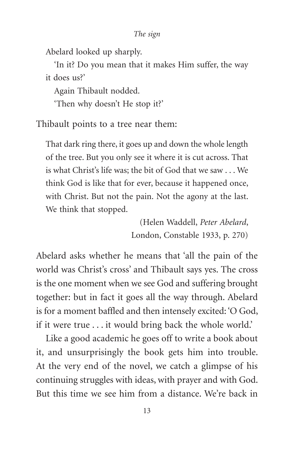Abelard looked up sharply.

'In it? Do you mean that it makes Him suffer, the way it does us?'

Again Thibault nodded.

'Then why doesn't He stop it?'

Thibault points to a tree near them:

That dark ring there, it goes up and down the whole length of the tree. But you only see it where it is cut across. That is what Christ's life was; the bit of God that we saw . . . We think God is like that for ever, because it happened once, with Christ. But not the pain. Not the agony at the last. We think that stopped.

> (Helen Waddell, *Peter Abelard*, London, Constable 1933, p. 270)

Abelard asks whether he means that 'all the pain of the world was Christ's cross' and Thibault says yes. The cross is the one moment when we see God and suffering brought together: but in fact it goes all the way through. Abelard is for a moment baffled and then intensely excited: 'O God, if it were true . . . it would bring back the whole world.'

Like a good academic he goes off to write a book about it, and unsurprisingly the book gets him into trouble. At the very end of the novel, we catch a glimpse of his continuing struggles with ideas, with prayer and with God. But this time we see him from a distance. We're back in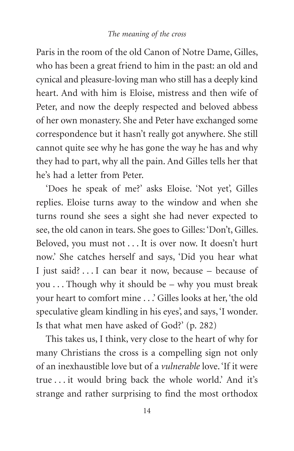Paris in the room of the old Canon of Notre Dame, Gilles, who has been a great friend to him in the past: an old and cynical and pleasure-loving man who still has a deeply kind heart. And with him is Eloise, mistress and then wife of Peter, and now the deeply respected and beloved abbess of her own monastery. She and Peter have exchanged some correspondence but it hasn't really got anywhere. She still cannot quite see why he has gone the way he has and why they had to part, why all the pain. And Gilles tells her that he's had a letter from Peter.

'Does he speak of me?' asks Eloise. 'Not yet', Gilles replies. Eloise turns away to the window and when she turns round she sees a sight she had never expected to see, the old canon in tears. She goes to Gilles: 'Don't, Gilles. Beloved, you must not . . . It is over now. It doesn't hurt now.' She catches herself and says, 'Did you hear what I just said? . . . I can bear it now, because – because of you . . . Though why it should be – why you must break your heart to comfort mine . . .' Gilles looks at her, 'the old speculative gleam kindling in his eyes', and says, 'I wonder. Is that what men have asked of God?' (p. 282)

This takes us, I think, very close to the heart of why for many Christians the cross is a compelling sign not only of an inexhaustible love but of a *vulnerable* love. 'If it were true . . . it would bring back the whole world.' And it's strange and rather surprising to find the most orthodox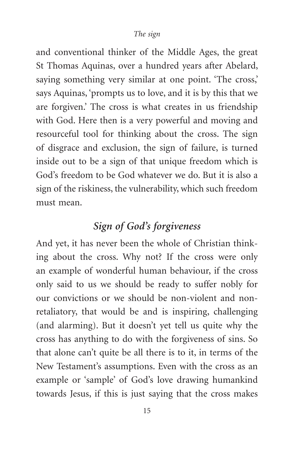and conventional thinker of the Middle Ages, the great St Thomas Aquinas, over a hundred years after Abelard, saying something very similar at one point. 'The cross,' says Aquinas, 'prompts us to love, and it is by this that we are forgiven.' The cross is what creates in us friendship with God. Here then is a very powerful and moving and resourceful tool for thinking about the cross. The sign of disgrace and exclusion, the sign of failure, is turned inside out to be a sign of that unique freedom which is God's freedom to be God whatever we do. But it is also a sign of the riskiness, the vulnerability, which such freedom must mean.

## *Sign of God's forgiveness*

And yet, it has never been the whole of Christian thinking about the cross. Why not? If the cross were only an example of wonderful human behaviour, if the cross only said to us we should be ready to suffer nobly for our convictions or we should be non-violent and nonretaliatory, that would be and is inspiring, challenging (and alarming). But it doesn't yet tell us quite why the cross has anything to do with the forgiveness of sins. So that alone can't quite be all there is to it, in terms of the New Testament's assumptions. Even with the cross as an example or 'sample' of God's love drawing humankind towards Jesus, if this is just saying that the cross makes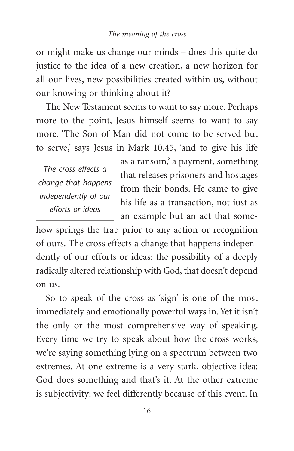or might make us change our minds – does this quite do justice to the idea of a new creation, a new horizon for all our lives, new possibilities created within us, without our knowing or thinking about it?

The New Testament seems to want to say more. Perhaps more to the point, Jesus himself seems to want to say more. 'The Son of Man did not come to be served but to serve,' says Jesus in Mark 10.45, 'and to give his life

*The cross effects a change that happens independently of our efforts or ideas*

as a ransom,' a payment, something that releases prisoners and hostages from their bonds. He came to give his life as a transaction, not just as an example but an act that some-

how springs the trap prior to any action or recognition of ours. The cross effects a change that happens independently of our efforts or ideas: the possibility of a deeply radically altered relationship with God, that doesn't depend on us.

So to speak of the cross as 'sign' is one of the most immediately and emotionally powerful ways in. Yet it isn't the only or the most comprehensive way of speaking. Every time we try to speak about how the cross works, we're saying something lying on a spectrum between two extremes. At one extreme is a very stark, objective idea: God does something and that's it. At the other extreme is subjectivity: we feel differently because of this event. In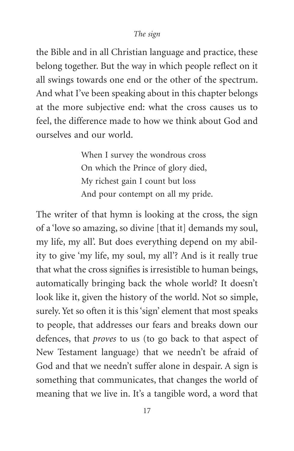the Bible and in all Christian language and practice, these belong together. But the way in which people reflect on it all swings towards one end or the other of the spectrum. And what I've been speaking about in this chapter belongs at the more subjective end: what the cross causes us to feel, the difference made to how we think about God and ourselves and our world.

> When I survey the wondrous cross On which the Prince of glory died, My richest gain I count but loss And pour contempt on all my pride.

The writer of that hymn is looking at the cross, the sign of a 'love so amazing, so divine [that it] demands my soul, my life, my all'. But does everything depend on my ability to give 'my life, my soul, my all'? And is it really true that what the cross signifies is irresistible to human beings, automatically bringing back the whole world? It doesn't look like it, given the history of the world. Not so simple, surely. Yet so often it is this 'sign' element that most speaks to people, that addresses our fears and breaks down our defences, that *proves* to us (to go back to that aspect of New Testament language) that we needn't be afraid of God and that we needn't suffer alone in despair. A sign is something that communicates, that changes the world of meaning that we live in. It's a tangible word, a word that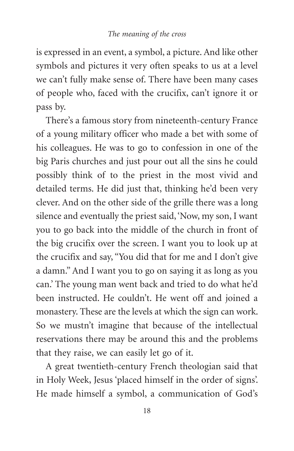is expressed in an event, a symbol, a picture. And like other symbols and pictures it very often speaks to us at a level we can't fully make sense of. There have been many cases of people who, faced with the crucifix, can't ignore it or pass by.

There's a famous story from nineteenth-century France of a young military officer who made a bet with some of his colleagues. He was to go to confession in one of the big Paris churches and just pour out all the sins he could possibly think of to the priest in the most vivid and detailed terms. He did just that, thinking he'd been very clever. And on the other side of the grille there was a long silence and eventually the priest said, 'Now, my son, I want you to go back into the middle of the church in front of the big crucifix over the screen. I want you to look up at the crucifix and say, "You did that for me and I don't give a damn." And I want you to go on saying it as long as you can.' The young man went back and tried to do what he'd been instructed. He couldn't. He went off and joined a monastery. These are the levels at which the sign can work. So we mustn't imagine that because of the intellectual reservations there may be around this and the problems that they raise, we can easily let go of it.

A great twentieth-century French theologian said that in Holy Week, Jesus 'placed himself in the order of signs'. He made himself a symbol, a communication of God's